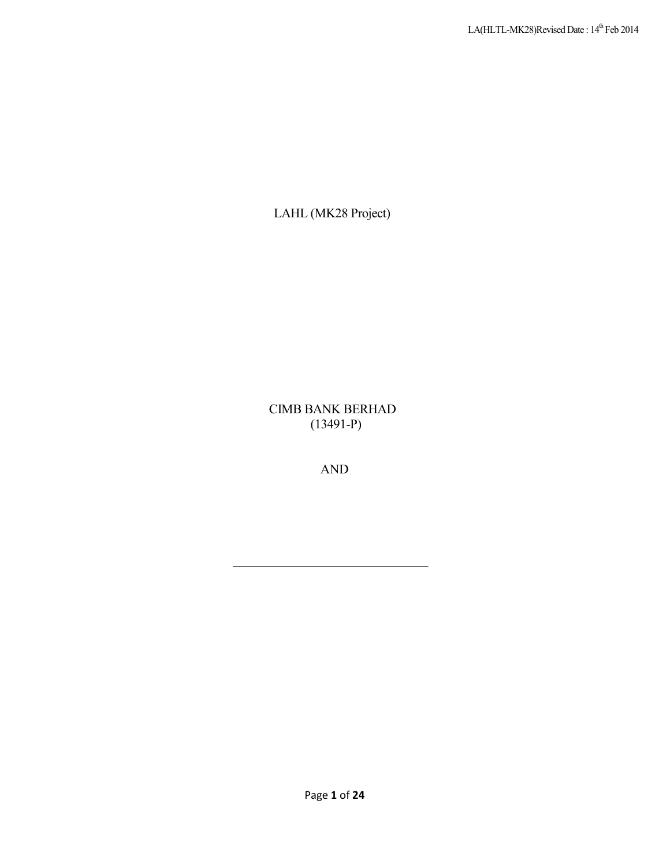LAHL (MK28 Project)

CIMB BANK BERHAD (13491-P)

AND

\_\_\_\_\_\_\_\_\_\_\_\_\_\_\_\_\_\_\_\_\_\_\_\_\_\_\_\_\_\_\_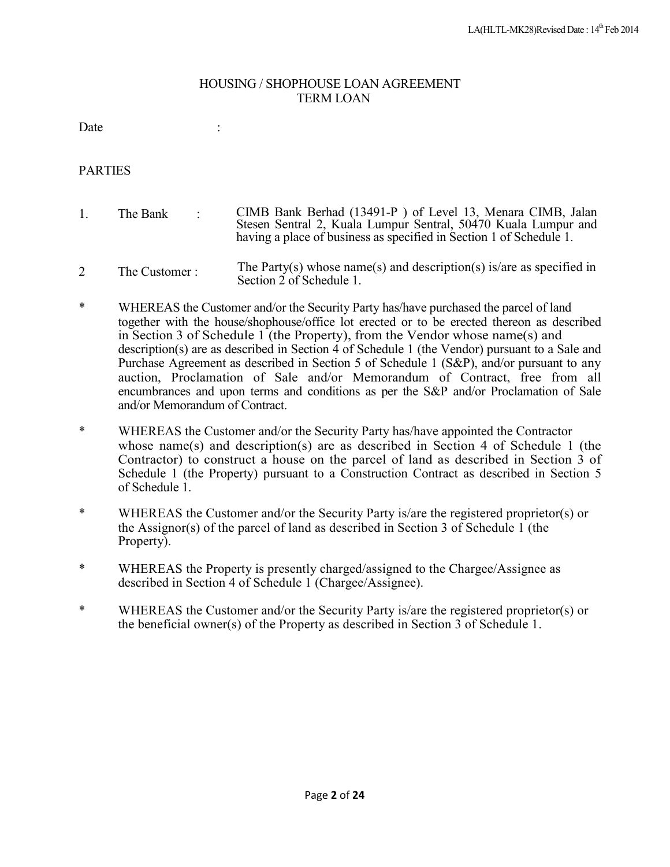### HOUSING / SHOPHOUSE LOAN AGREEMENT TERM LOAN

Date : the state of the state of the state of the state of the state of the state of the state of the state of the state of the state of the state of the state of the state of the state of the state of the state of the sta

### **PARTIES**

- 1 The Bank  $\cdot$ CIMB Bank Berhad (13491-P ) of Level 13, Menara CIMB, Jalan Stesen Sentral 2, Kuala Lumpur Sentral, 50470 Kuala Lumpur and having a place of business as specified in Section 1 of Schedule 1.
- 2 The Customer : The Party(s) whose name(s) and description(s) is/are as specified in Section 2 of Schedule 1.
- \* WHEREAS the Customer and/or the Security Party has/have purchased the parcel of land together with the house/shophouse/office lot erected or to be erected thereon as described in Section 3 of Schedule  $1$  (the Property), from the Vendor whose name(s) and description(s) are as described in Section 4 of Schedule 1 (the Vendor) pursuant to a Sale and Purchase Agreement as described in Section 5 of Schedule 1 (S&P), and/or pursuant to any auction, Proclamation of Sale and/or Memorandum of Contract, free from all encumbrances and upon terms and conditions as per the S&P and/or Proclamation of Sale and/or Memorandum of Contract.
- \* WHEREAS the Customer and/or the Security Party has/have appointed the Contractor whose name(s) and description(s) are as described in Section 4 of Schedule 1 (the Contractor) to construct a house on the parcel of land as described in Section 3 of Schedule 1 (the Property) pursuant to a Construction Contract as described in Section 5 of Schedule 1.
- \* WHEREAS the Customer and/or the Security Party is/are the registered proprietor(s) or the Assignor(s) of the parcel of land as described in Section 3 of Schedule 1 (the Property).
- \* WHEREAS the Property is presently charged/assigned to the Chargee/Assignee as described in Section 4 of Schedule 1 (Chargee/Assignee).
- \* WHEREAS the Customer and/or the Security Party is/are the registered proprietor(s) or the beneficial owner(s) of the Property as described in Section 3 of Schedule 1.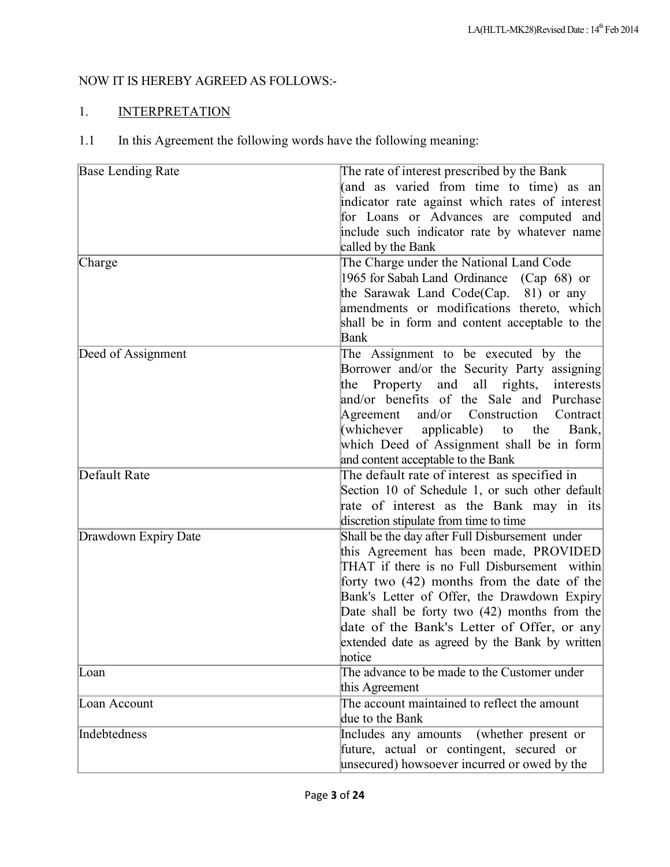# NOW IT IS HEREBY AGREED AS FOLLOWS:-

# 1. INTERPRETATION

1.1 In this Agreement the following words have the following meaning:

| <b>Base Lending Rate</b><br>Charge | The rate of interest prescribed by the Bank<br>(and as varied from time to time) as an<br>indicator rate against which rates of interest<br>for Loans or Advances are computed and<br>include such indicator rate by whatever name<br>called by the Bank<br>The Charge under the National Land Code<br>1965 for Sabah Land Ordinance<br>$(Cap 68)$ or<br>the Sarawak Land Code(Cap.<br>81) or any<br>amendments or modifications thereto, which<br>shall be in form and content acceptable to the<br>Bank |
|------------------------------------|-----------------------------------------------------------------------------------------------------------------------------------------------------------------------------------------------------------------------------------------------------------------------------------------------------------------------------------------------------------------------------------------------------------------------------------------------------------------------------------------------------------|
| Deed of Assignment                 | The Assignment to be executed by the<br>Borrower and/or the Security Party assigning<br>all<br>Property and<br>rights,<br>the<br>interests<br>and/or benefits of the Sale and Purchase<br>and/or Construction<br>Agreement<br>Contract<br>(whichever<br>applicable)<br>to<br>the<br>Bank,<br>which Deed of Assignment shall be in form<br>and content acceptable to the Bank                                                                                                                              |
| Default Rate                       | The default rate of interest as specified in<br>Section 10 of Schedule 1, or such other default<br>rate of interest as the Bank may in its<br>discretion stipulate from time to time                                                                                                                                                                                                                                                                                                                      |
| Drawdown Expiry Date               | Shall be the day after Full Disbursement under<br>this Agreement has been made, PROVIDED<br>THAT if there is no Full Disbursement within<br>forty two $(42)$ months from the date of the<br>Bank's Letter of Offer, the Drawdown Expiry<br>Date shall be forty two (42) months from the<br>date of the Bank's Letter of Offer, or any<br>extended date as agreed by the Bank by written<br>hotice                                                                                                         |
| Loan                               | The advance to be made to the Customer under<br>this Agreement                                                                                                                                                                                                                                                                                                                                                                                                                                            |
| Loan Account                       | The account maintained to reflect the amount<br>due to the Bank                                                                                                                                                                                                                                                                                                                                                                                                                                           |
| Indebtedness                       | Includes any amounts<br>(whether present or<br>future, actual or contingent, secured or<br>unsecured) howsoever incurred or owed by the                                                                                                                                                                                                                                                                                                                                                                   |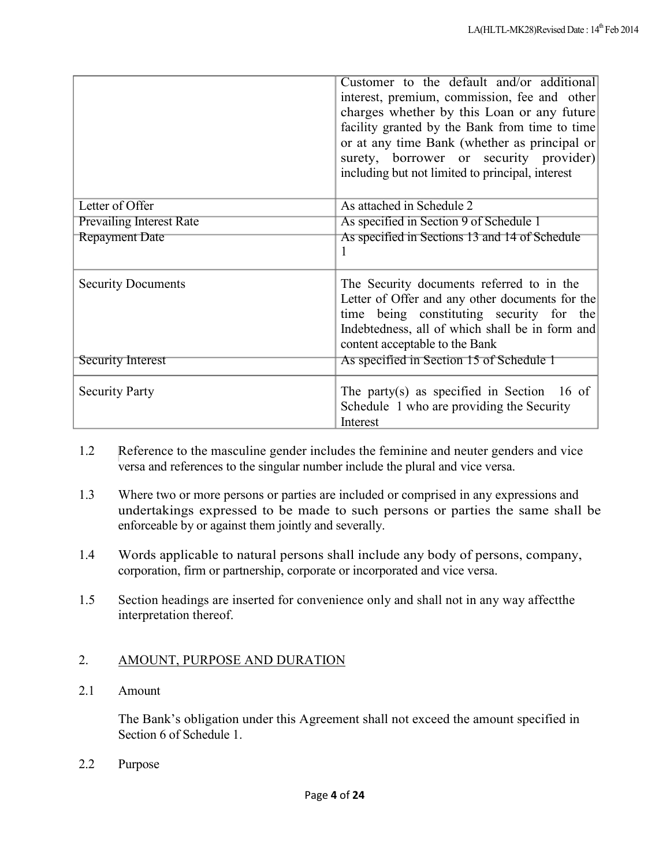|                                 | Customer to the default and/or additional<br>interest, premium, commission, fee and other<br>charges whether by this Loan or any future<br>facility granted by the Bank from time to time<br>or at any time Bank (whether as principal or<br>surety, borrower or security provider)<br>including but not limited to principal, interest |
|---------------------------------|-----------------------------------------------------------------------------------------------------------------------------------------------------------------------------------------------------------------------------------------------------------------------------------------------------------------------------------------|
| Letter of Offer                 | As attached in Schedule 2                                                                                                                                                                                                                                                                                                               |
| <b>Prevailing Interest Rate</b> | As specified in Section 9 of Schedule 1                                                                                                                                                                                                                                                                                                 |
| <b>Repayment Date</b>           | As specified in Sections 13 and 14 of Schedule<br>1                                                                                                                                                                                                                                                                                     |
| <b>Security Documents</b>       | The Security documents referred to in the<br>Letter of Offer and any other documents for the<br>time being constituting security for the<br>Indebtedness, all of which shall be in form and<br>content acceptable to the Bank                                                                                                           |
| Security Interest               | As specified in Section 15 of Schedule 1                                                                                                                                                                                                                                                                                                |
| <b>Security Party</b>           | The party(s) as specified in Section 16 of<br>Schedule 1 who are providing the Security<br>Interest                                                                                                                                                                                                                                     |

- 1.2 Reference to the masculine gender includes the feminine and neuter genders and vice versa and references to the singular number include the plural and vice versa.
- 1.3 Where two or more persons or parties are included or comprised in any expressions and undertakings expressed to be made to such persons or parties the same shall be enforceable by or against them jointly and severally.
- 1.4 Words applicable to natural persons shall include any body of persons, company, corporation, firm or partnership, corporate or incorporated and vice versa.
- 1.5 Section headings are inserted for convenience only and shall not in any way affectthe interpretation thereof.

# 2. AMOUNT, PURPOSE AND DURATION

2.1 Amount

The Bank's obligation under this Agreement shall not exceed the amount specified in Section 6 of Schedule 1.

2.2 Purpose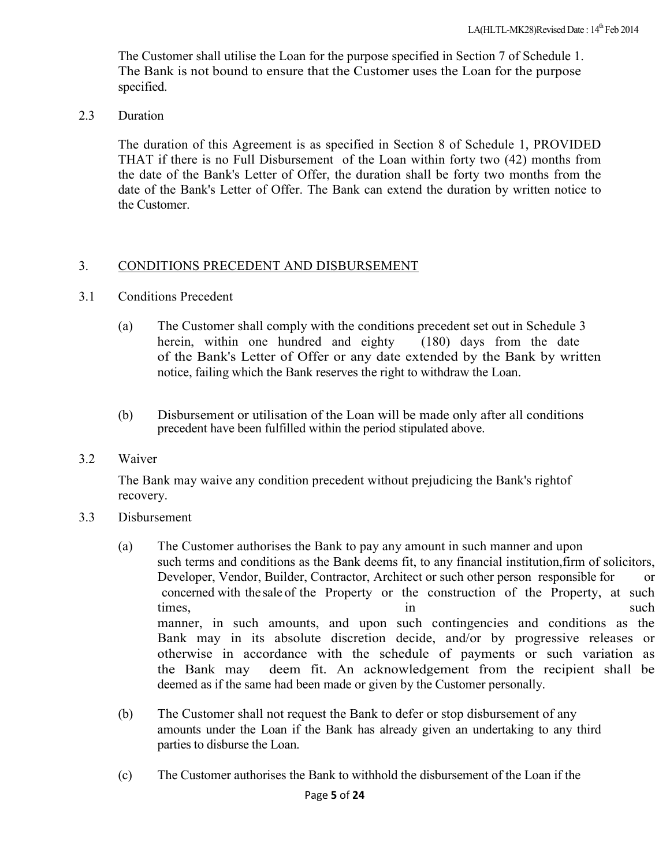The Customer shall utilise the Loan for the purpose specified in Section 7 of Schedule 1. The Bank is not bound to ensure that the Customer uses the Loan for the purpose specified.

2.3 Duration

The duration of this Agreement is as specified in Section 8 of Schedule 1, PROVIDED THAT if there is no Full Disbursement of the Loan within forty two (42) months from the date of the Bank's Letter of Offer, the duration shall be forty two months from the date of the Bank's Letter of Offer. The Bank can extend the duration by written notice to the Customer.

## 3. CONDITIONS PRECEDENT AND DISBURSEMENT

- 3.1 Conditions Precedent
	- (a) The Customer shall comply with the conditions precedent set out in Schedule 3 herein, within one hundred and eighty (180) days from the date of the Bank's Letter of Offer or any date extended by the Bank by written notice, failing which the Bank reserves the right to withdraw the Loan.
	- (b) Disbursement or utilisation of the Loan will be made only after all conditions precedent have been fulfilled within the period stipulated above.
- 3.2 Waiver

The Bank may waive any condition precedent without prejudicing the Bank's rightof recovery.

- 3.3 Disbursement
	- (a) The Customer authorises the Bank to pay any amount in such manner and upon such terms and conditions as the Bank deems fit, to any financial institution,firm of solicitors, Developer, Vendor, Builder, Contractor, Architect or such other person responsible for or concerned with the sale of the Property or the construction of the Property, at such times, in such such that is not such that  $\sin \theta$ manner, in such amounts, and upon such contingencies and conditions as the Bank may in its absolute discretion decide, and/or by progressive releases or otherwise in accordance with the schedule of payments or such variation as the Bank may deem fit. An acknowledgement from the recipient shall be deemed as if the same had been made or given by the Customer personally.
	- (b) The Customer shall not request the Bank to defer or stop disbursement of any amounts under the Loan if the Bank has already given an undertaking to any third parties to disburse the Loan.
	- (c) The Customer authorises the Bank to withhold the disbursement of the Loan if the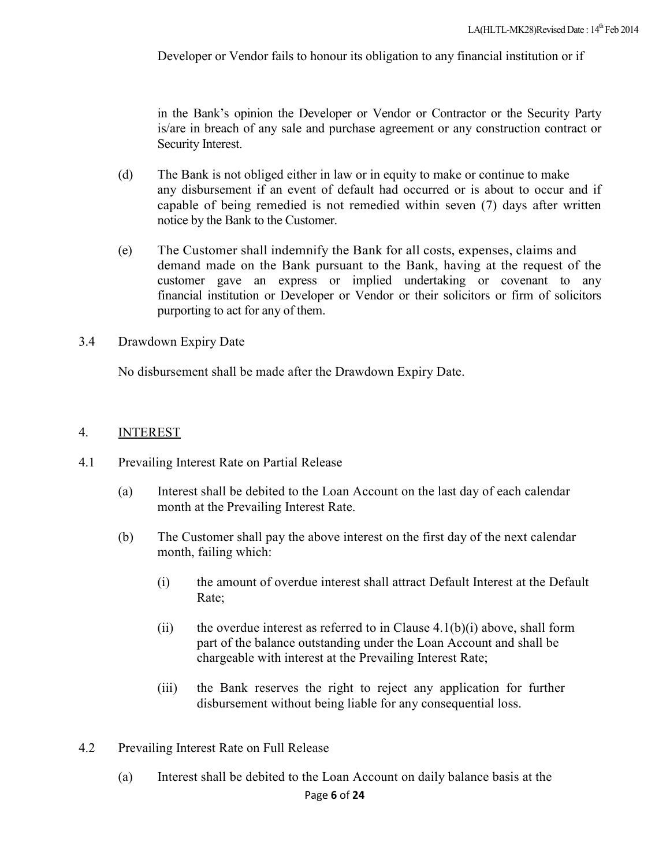Developer or Vendor fails to honour its obligation to any financial institution or if

in the Bank's opinion the Developer or Vendor or Contractor or the Security Party is/are in breach of any sale and purchase agreement or any construction contract or Security Interest.

- (d) The Bank is not obliged either in law or in equity to make or continue to make any disbursement if an event of default had occurred or is about to occur and if capable of being remedied is not remedied within seven (7) days after written notice by the Bank to the Customer.
- (e) The Customer shall indemnify the Bank for all costs, expenses, claims and demand made on the Bank pursuant to the Bank, having at the request of the customer gave an express or implied undertaking or covenant to any financial institution or Developer or Vendor or their solicitors or firm of solicitors purporting to act for any of them.
- 3.4 Drawdown Expiry Date

No disbursement shall be made after the Drawdown Expiry Date.

#### 4. INTEREST

- 4.1 Prevailing Interest Rate on Partial Release
	- (a) Interest shall be debited to the Loan Account on the last day of each calendar month at the Prevailing Interest Rate.
	- (b) The Customer shall pay the above interest on the first day of the next calendar month, failing which:
		- (i) the amount of overdue interest shall attract Default Interest at the Default Rate;
		- (ii) the overdue interest as referred to in Clause  $4.1(b)(i)$  above, shall form part of the balance outstanding under the Loan Account and shall be chargeable with interest at the Prevailing Interest Rate;
		- (iii) the Bank reserves the right to reject any application for further disbursement without being liable for any consequential loss.
- 4.2 Prevailing Interest Rate on Full Release
	- Page **6** of **24** (a) Interest shall be debited to the Loan Account on daily balance basis at the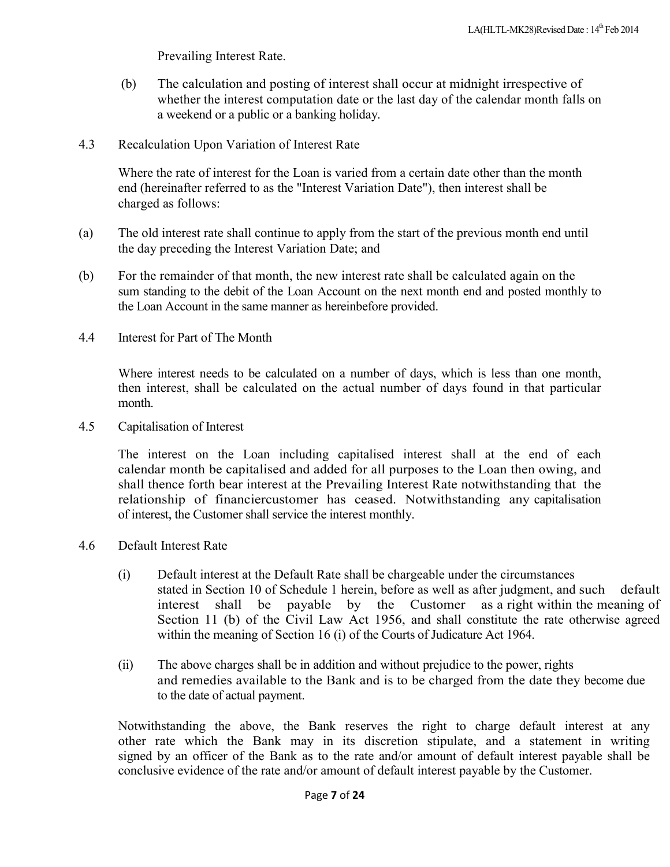Prevailing Interest Rate.

- (b) The calculation and posting of interest shall occur at midnight irrespective of whether the interest computation date or the last day of the calendar month falls on a weekend or a public or a banking holiday.
- 4.3 Recalculation Upon Variation of Interest Rate

Where the rate of interest for the Loan is varied from a certain date other than the month end (hereinafter referred to as the "Interest Variation Date"), then interest shall be charged as follows:

- (a) The old interest rate shall continue to apply from the start of the previous month end until the day preceding the Interest Variation Date; and
- (b) For the remainder of that month, the new interest rate shall be calculated again on the sum standing to the debit of the Loan Account on the next month end and posted monthly to the Loan Account in the same manner as hereinbefore provided.
- 4.4 Interest for Part of The Month

Where interest needs to be calculated on a number of days, which is less than one month, then interest, shall be calculated on the actual number of days found in that particular month.

4.5 Capitalisation of Interest

The interest on the Loan including capitalised interest shall at the end of each calendar month be capitalised and added for all purposes to the Loan then owing, and shall thence forth bear interest at the Prevailing Interest Rate notwithstanding that the relationship of financiercustomer has ceased. Notwithstanding any capitalisation of interest, the Customer shall service the interest monthly.

- 4.6 Default Interest Rate
	- (i) Default interest at the Default Rate shall be chargeable under the circumstances stated in Section 10 of Schedule 1 herein, before as well as after judgment, and such default interest shall be payable by the Customer as a right within the meaning of Section 11 (b) of the Civil Law Act 1956, and shall constitute the rate otherwise agreed within the meaning of Section 16 (i) of the Courts of Judicature Act 1964.
	- (ii) The above charges shall be in addition and without prejudice to the power, rights and remedies available to the Bank and is to be charged from the date they become due to the date of actual payment.

Notwithstanding the above, the Bank reserves the right to charge default interest at any other rate which the Bank may in its discretion stipulate, and a statement in writing signed by an officer of the Bank as to the rate and/or amount of default interest payable shall be conclusive evidence of the rate and/or amount of default interest payable by the Customer.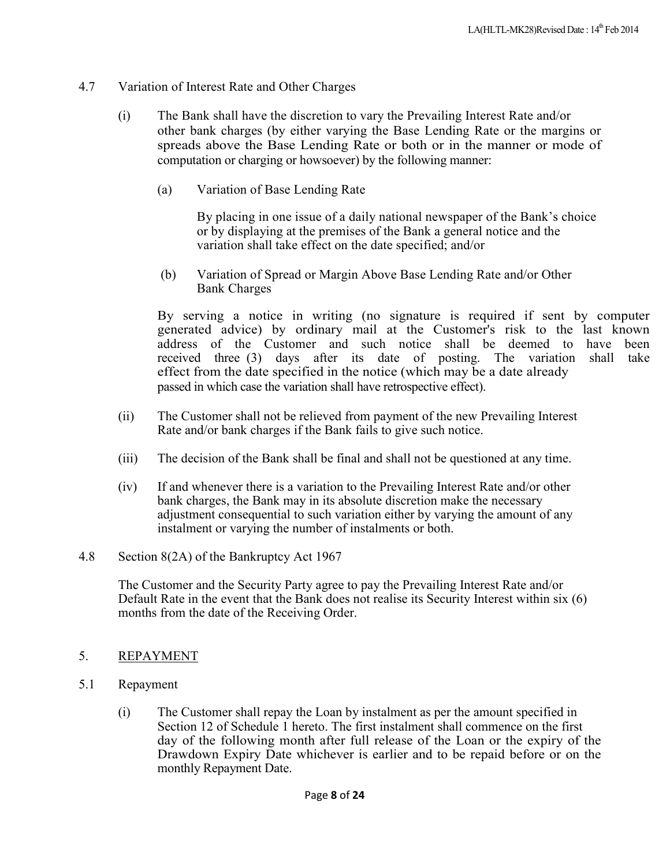- 4.7 Variation of Interest Rate and Other Charges
	- (i) The Bank shall have the discretion to vary the Prevailing Interest Rate and/or other bank charges (by either varying the Base Lending Rate or the margins or spreads above the Base Lending Rate or both or in the manner or mode of computation or charging or howsoever) by the following manner:
		- (a) Variation of Base Lending Rate

By placing in one issue of a daily national newspaper of the Bank's choice or by displaying at the premises of the Bank a general notice and the variation shall take effect on the date specified; and/or

(b) Variation of Spread or Margin Above Base Lending Rate and/or Other Bank Charges

By serving a notice in writing (no signature is required if sent by computer generated advice) by ordinary mail at the Customer's risk to the last known address of the Customer and such notice shall be deemed to have been received three (3) days after its date of posting. The variation shall take effect from the date specified in the notice (which may be a date already passed in which case the variation shall have retrospective effect).

- (ii) The Customer shall not be relieved from payment of the new Prevailing Interest Rate and/or bank charges if the Bank fails to give such notice.
- (iii) The decision of the Bank shall be final and shall not be questioned at any time.
- (iv) If and whenever there is a variation to the Prevailing Interest Rate and/or other bank charges, the Bank may in its absolute discretion make the necessary adjustment consequential to such variation either by varying the amount of any instalment or varying the number of instalments or both.
- 4.8 Section 8(2A) of the Bankruptcy Act 1967

The Customer and the Security Party agree to pay the Prevailing Interest Rate and/or Default Rate in the event that the Bank does not realise its Security Interest within six (6) months from the date of the Receiving Order.

- 5. REPAYMENT
- 5.1 Repayment
	- (i) The Customer shall repay the Loan by instalment as per the amount specified in Section 12 of Schedule 1 hereto. The first instalment shall commence on the first day of the following month after full release of the Loan or the expiry of the Drawdown Expiry Date whichever is earlier and to be repaid before or on the monthly Repayment Date.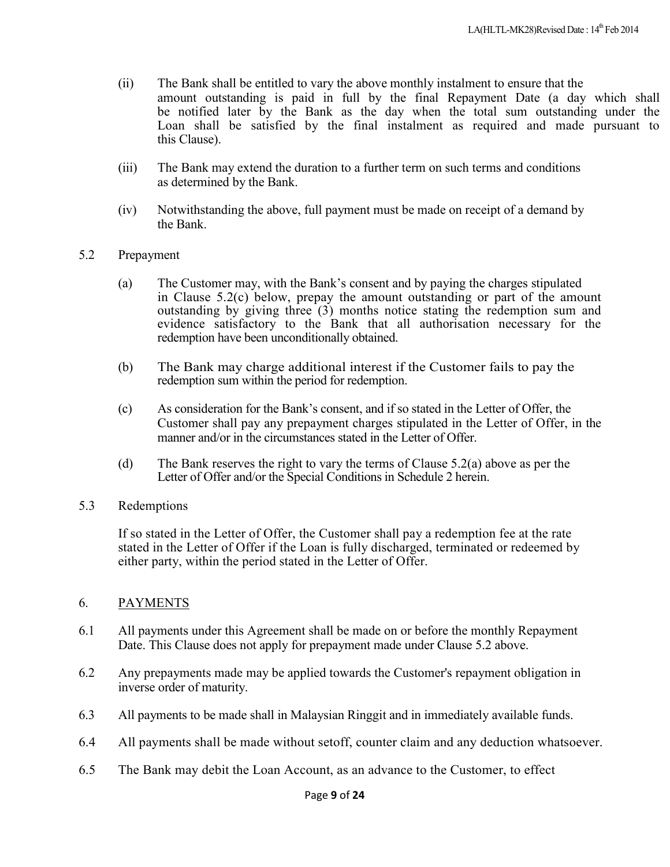- (ii) The Bank shall be entitled to vary the above monthly instalment to ensure that the amount outstanding is paid in full by the final Repayment Date (a day which shall be notified later by the Bank as the day when the total sum outstanding under the Loan shall be satisfied by the final instalment as required and made pursuant to this Clause).
- (iii) The Bank may extend the duration to a further term on such terms and conditions as determined by the Bank.
- (iv) Notwithstanding the above, full payment must be made on receipt of a demand by the Bank.
- 5.2 Prepayment
	- (a) The Customer may, with the Bank's consent and by paying the charges stipulated in Clause 5.2(c) below, prepay the amount outstanding or part of the amount outstanding by giving three (3) months notice stating the redemption sum and evidence satisfactory to the Bank that all authorisation necessary for the redemption have been unconditionally obtained.
	- (b) The Bank may charge additional interest if the Customer fails to pay the redemption sum within the period for redemption.
	- (c) As consideration for the Bank's consent, and if so stated in the Letter of Offer, the Customer shall pay any prepayment charges stipulated in the Letter of Offer, in the manner and/or in the circumstances stated in the Letter of Offer.
	- (d) The Bank reserves the right to vary the terms of Clause 5.2(a) above as per the Letter of Offer and/or the Special Conditions in Schedule 2 herein.
- 5.3 Redemptions

If so stated in the Letter of Offer, the Customer shall pay a redemption fee at the rate stated in the Letter of Offer if the Loan is fully discharged, terminated or redeemed by either party, within the period stated in the Letter of Offer.

- 6. PAYMENTS
- 6.1 All payments under this Agreement shall be made on or before the monthly Repayment Date. This Clause does not apply for prepayment made under Clause 5.2 above.
- 6.2 Any prepayments made may be applied towards the Customer's repayment obligation in inverse order of maturity.
- 6.3 All payments to be made shall in Malaysian Ringgit and in immediately available funds.
- 6.4 All payments shall be made without setoff, counter claim and any deduction whatsoever.
- 6.5 The Bank may debit the Loan Account, as an advance to the Customer, to effect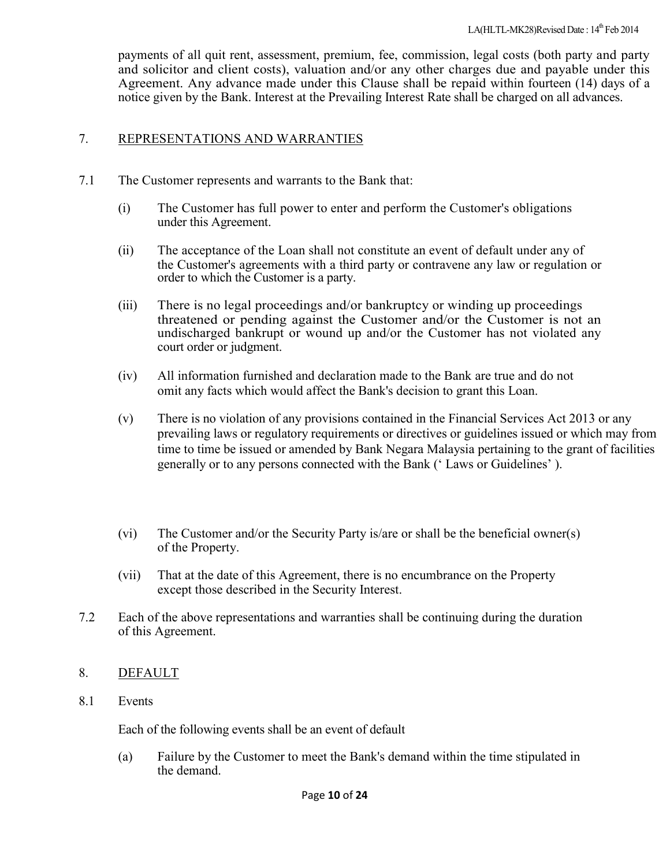payments of all quit rent, assessment, premium, fee, commission, legal costs (both party and party and solicitor and client costs), valuation and/or any other charges due and payable under this Agreement. Any advance made under this Clause shall be repaid within fourteen (14) days of a notice given by the Bank. Interest at the Prevailing Interest Rate shall be charged on all advances.

### 7. REPRESENTATIONS AND WARRANTIES

- 7.1 The Customer represents and warrants to the Bank that:
	- (i) The Customer has full power to enter and perform the Customer's obligations under this Agreement.
	- (ii) The acceptance of the Loan shall not constitute an event of default under any of the Customer's agreements with a third party or contravene any law or regulation or order to which the Customer is a party.
	- (iii) There is no legal proceedings and/or bankruptcy or winding up proceedings threatened or pending against the Customer and/or the Customer is not an undischarged bankrupt or wound up and/or the Customer has not violated any court order or judgment.
	- (iv) All information furnished and declaration made to the Bank are true and do not omit any facts which would affect the Bank's decision to grant this Loan.
	- (v) There is no violation of any provisions contained in the Financial Services Act 2013 or any prevailing laws or regulatory requirements or directives or guidelines issued or which may from time to time be issued or amended by Bank Negara Malaysia pertaining to the grant of facilities generally or to any persons connected with the Bank (' Laws or Guidelines' ).
	- (vi) The Customer and/or the Security Party is/are or shall be the beneficial owner(s) of the Property.
	- (vii) That at the date of this Agreement, there is no encumbrance on the Property except those described in the Security Interest.
- 7.2 Each of the above representations and warranties shall be continuing during the duration of this Agreement.

#### 8. DEFAULT

8.1 Events

Each of the following events shall be an event of default

(a) Failure by the Customer to meet the Bank's demand within the time stipulated in the demand.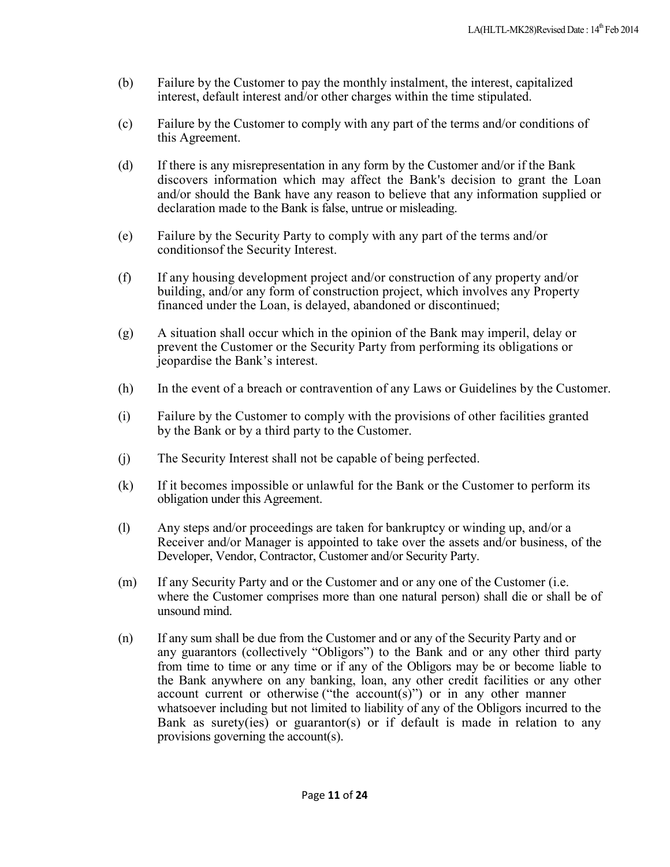- (b) Failure by the Customer to pay the monthly instalment, the interest, capitalized interest, default interest and/or other charges within the time stipulated.
- (c) Failure by the Customer to comply with any part of the terms and/or conditions of this Agreement.
- (d) If there is any misrepresentation in any form by the Customer and/or if the Bank discovers information which may affect the Bank's decision to grant the Loan and/or should the Bank have any reason to believe that any information supplied or declaration made to the Bank is false, untrue or misleading.
- (e) Failure by the Security Party to comply with any part of the terms and/or conditionsof the Security Interest.
- (f) If any housing development project and/or construction of any property and/or building, and/or any form of construction project, which involves any Property financed under the Loan, is delayed, abandoned or discontinued;
- (g) A situation shall occur which in the opinion of the Bank may imperil, delay or prevent the Customer or the Security Party from performing its obligations or jeopardise the Bank's interest.
- (h) In the event of a breach or contravention of any Laws or Guidelines by the Customer.
- (i) Failure by the Customer to comply with the provisions of other facilities granted by the Bank or by a third party to the Customer.
- (j) The Security Interest shall not be capable of being perfected.
- (k) If it becomes impossible or unlawful for the Bank or the Customer to perform its obligation under this Agreement.
- (l) Any steps and/or proceedings are taken for bankruptcy or winding up, and/or a Receiver and/or Manager is appointed to take over the assets and/or business, of the Developer, Vendor, Contractor, Customer and/or Security Party.
- (m) If any Security Party and or the Customer and or any one of the Customer (i.e. where the Customer comprises more than one natural person) shall die or shall be of unsound mind.
- (n) If any sum shall be due from the Customer and or any of the Security Party and or any guarantors (collectively "Obligors") to the Bank and or any other third party from time to time or any time or if any of the Obligors may be or become liable to the Bank anywhere on any banking, loan, any other credit facilities or any other account current or otherwise ("the account(s)") or in any other manner whatsoever including but not limited to liability of any of the Obligors incurred to the Bank as surety(ies) or guarantor(s) or if default is made in relation to any provisions governing the account(s).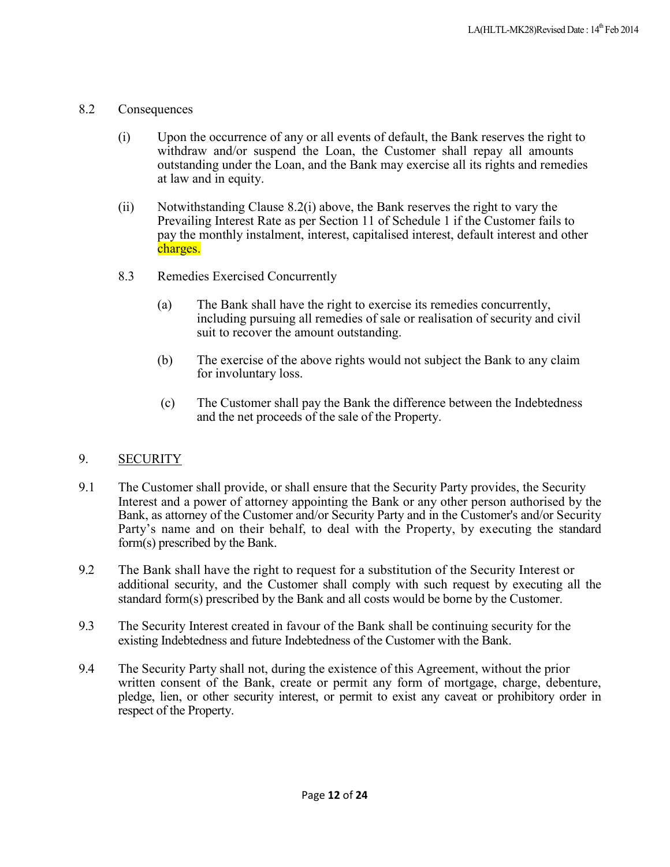- 8.2 Consequences
	- (i) Upon the occurrence of any or all events of default, the Bank reserves the right to withdraw and/or suspend the Loan, the Customer shall repay all amounts outstanding under the Loan, and the Bank may exercise all its rights and remedies at law and in equity.
	- (ii) Notwithstanding Clause 8.2(i) above, the Bank reserves the right to vary the Prevailing Interest Rate as per Section 11 of Schedule 1 if the Customer fails to pay the monthly instalment, interest, capitalised interest, default interest and other charges.
	- 8.3 Remedies Exercised Concurrently
		- (a) The Bank shall have the right to exercise its remedies concurrently, including pursuing all remedies of sale or realisation of security and civil suit to recover the amount outstanding.
		- (b) The exercise of the above rights would not subject the Bank to any claim for involuntary loss.
		- (c) The Customer shall pay the Bank the difference between the Indebtedness and the net proceeds of the sale of the Property.

# 9. SECURITY

- 9.1 The Customer shall provide, or shall ensure that the Security Party provides, the Security Interest and a power of attorney appointing the Bank or any other person authorised by the Bank, as attorney of the Customer and/or Security Party and in the Customer's and/or Security Party's name and on their behalf, to deal with the Property, by executing the standard form(s) prescribed by the Bank.
- 9.2 The Bank shall have the right to request for a substitution of the Security Interest or additional security, and the Customer shall comply with such request by executing all the standard form(s) prescribed by the Bank and all costs would be borne by the Customer.
- 9.3 The Security Interest created in favour of the Bank shall be continuing security for the existing Indebtedness and future Indebtedness of the Customer with the Bank.
- 9.4 The Security Party shall not, during the existence of this Agreement, without the prior written consent of the Bank, create or permit any form of mortgage, charge, debenture, pledge, lien, or other security interest, or permit to exist any caveat or prohibitory order in respect of the Property.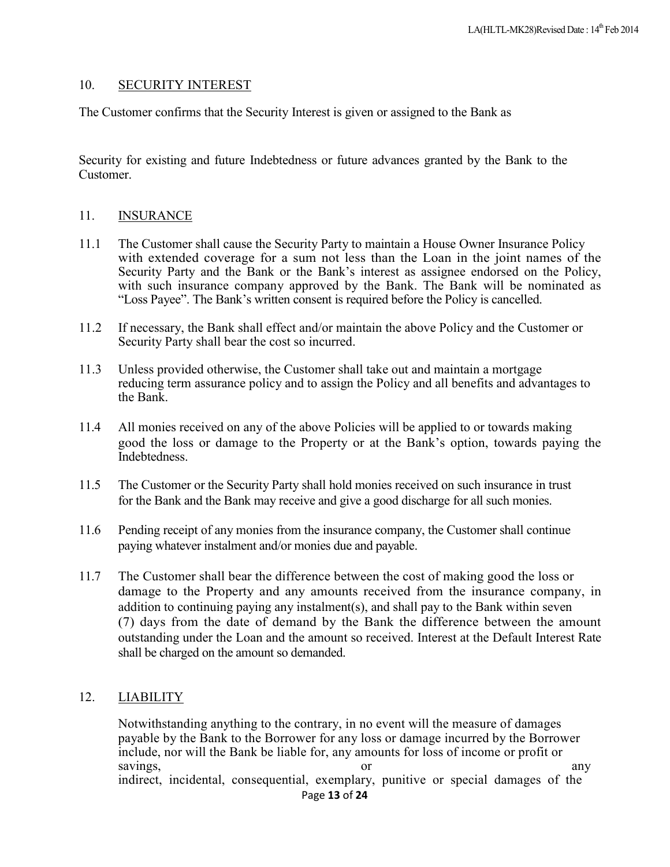#### 10. SECURITY INTEREST

The Customer confirms that the Security Interest is given or assigned to the Bank as

Security for existing and future Indebtedness or future advances granted by the Bank to the Customer.

#### 11. INSURANCE

- 11.1 The Customer shall cause the Security Party to maintain a House Owner Insurance Policy with extended coverage for a sum not less than the Loan in the joint names of the Security Party and the Bank or the Bank's interest as assignee endorsed on the Policy, with such insurance company approved by the Bank. The Bank will be nominated as "Loss Payee". The Bank's written consent is required before the Policy is cancelled.
- 11.2 If necessary, the Bank shall effect and/or maintain the above Policy and the Customer or Security Party shall bear the cost so incurred.
- 11.3 Unless provided otherwise, the Customer shall take out and maintain a mortgage reducing term assurance policy and to assign the Policy and all benefits and advantages to the Bank.
- 11.4 All monies received on any of the above Policies will be applied to or towards making good the loss or damage to the Property or at the Bank's option, towards paying the **Indebtedness**
- 11.5 The Customer or the Security Party shall hold monies received on such insurance in trust for the Bank and the Bank may receive and give a good discharge for all such monies.
- 11.6 Pending receipt of any monies from the insurance company, the Customer shall continue paying whatever instalment and/or monies due and payable.
- 11.7 The Customer shall bear the difference between the cost of making good the loss or damage to the Property and any amounts received from the insurance company, in addition to continuing paying any instalment(s), and shall pay to the Bank within seven (7) days from the date of demand by the Bank the difference between the amount outstanding under the Loan and the amount so received. Interest at the Default Interest Rate shall be charged on the amount so demanded.

#### 12. LIABILITY

Page **13** of **24** Notwithstanding anything to the contrary, in no event will the measure of damages payable by the Bank to the Borrower for any loss or damage incurred by the Borrower include, nor will the Bank be liable for, any amounts for loss of income or profit or savings, any or any any indirect, incidental, consequential, exemplary, punitive or special damages of the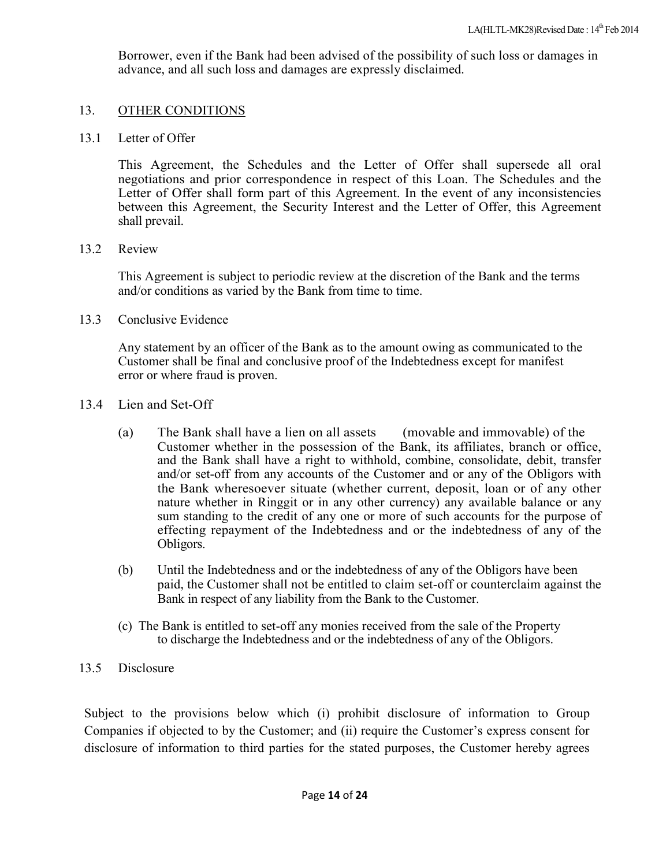Borrower, even if the Bank had been advised of the possibility of such loss or damages in advance, and all such loss and damages are expressly disclaimed.

#### 13. OTHER CONDITIONS

13.1 Letter of Offer

This Agreement, the Schedules and the Letter of Offer shall supersede all oral negotiations and prior correspondence in respect of this Loan. The Schedules and the Letter of Offer shall form part of this Agreement. In the event of any inconsistencies between this Agreement, the Security Interest and the Letter of Offer, this Agreement shall prevail.

#### 13.2 Review

This Agreement is subject to periodic review at the discretion of the Bank and the terms and/or conditions as varied by the Bank from time to time.

13.3 Conclusive Evidence

Any statement by an officer of the Bank as to the amount owing as communicated to the Customer shall be final and conclusive proof of the Indebtedness except for manifest error or where fraud is proven.

- 13.4 Lien and Set-Off
	- (a) The Bank shall have a lien on all assets (movable and immovable) of the Customer whether in the possession of the Bank, its affiliates, branch or office, and the Bank shall have a right to withhold, combine, consolidate, debit, transfer and/or set-off from any accounts of the Customer and or any of the Obligors with the Bank wheresoever situate (whether current, deposit, loan or of any other nature whether in Ringgit or in any other currency) any available balance or any sum standing to the credit of any one or more of such accounts for the purpose of effecting repayment of the Indebtedness and or the indebtedness of any of the Obligors.
	- (b) Until the Indebtedness and or the indebtedness of any of the Obligors have been paid, the Customer shall not be entitled to claim set-off or counterclaim against the Bank in respect of any liability from the Bank to the Customer.
	- (c) The Bank is entitled to set-off any monies received from the sale of the Property to discharge the Indebtedness and or the indebtedness of any of the Obligors.

#### 13.5 Disclosure

Subject to the provisions below which (i) prohibit disclosure of information to Group Companies if objected to by the Customer; and (ii) require the Customer's express consent for disclosure of information to third parties for the stated purposes, the Customer hereby agrees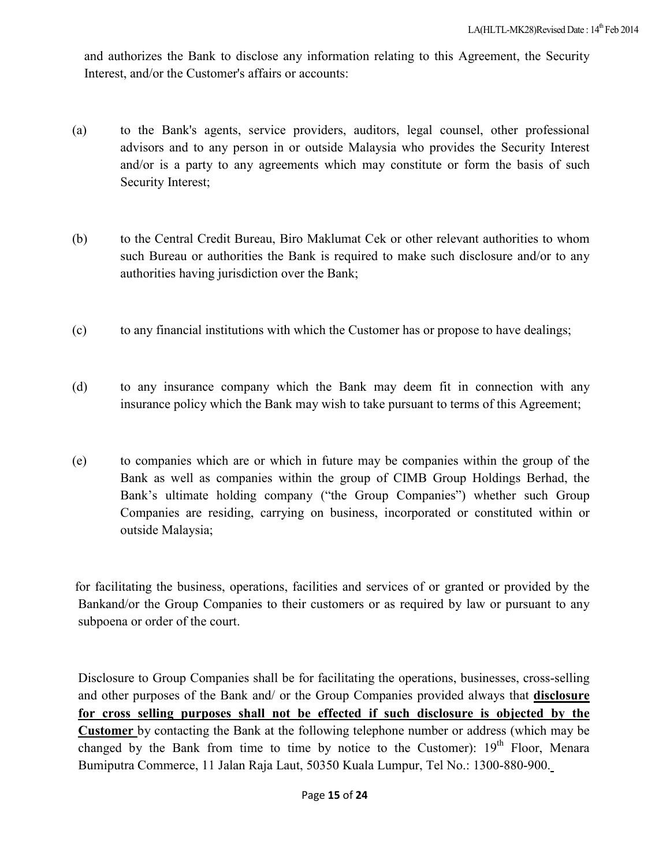and authorizes the Bank to disclose any information relating to this Agreement, the Security Interest, and/or the Customer's affairs or accounts:

- (a) to the Bank's agents, service providers, auditors, legal counsel, other professional advisors and to any person in or outside Malaysia who provides the Security Interest and/or is a party to any agreements which may constitute or form the basis of such Security Interest;
- (b) to the Central Credit Bureau, Biro Maklumat Cek or other relevant authorities to whom such Bureau or authorities the Bank is required to make such disclosure and/or to any authorities having jurisdiction over the Bank;
- (c) to any financial institutions with which the Customer has or propose to have dealings;
- (d) to any insurance company which the Bank may deem fit in connection with any insurance policy which the Bank may wish to take pursuant to terms of this Agreement;
- (e) to companies which are or which in future may be companies within the group of the Bank as well as companies within the group of CIMB Group Holdings Berhad, the Bank's ultimate holding company ("the Group Companies") whether such Group Companies are residing, carrying on business, incorporated or constituted within or outside Malaysia;

for facilitating the business, operations, facilities and services of or granted or provided by the Bankand/or the Group Companies to their customers or as required by law or pursuant to any subpoena or order of the court.

Disclosure to Group Companies shall be for facilitating the operations, businesses, cross-selling and other purposes of the Bank and/ or the Group Companies provided always that **disclosure for cross selling purposes shall not be effected if such disclosure is objected by the Customer** by contacting the Bank at the following telephone number or address (which may be changed by the Bank from time to time by notice to the Customer):  $19<sup>th</sup>$  Floor, Menara Bumiputra Commerce, 11 Jalan Raja Laut, 50350 Kuala Lumpur, Tel No.: 1300-880-900.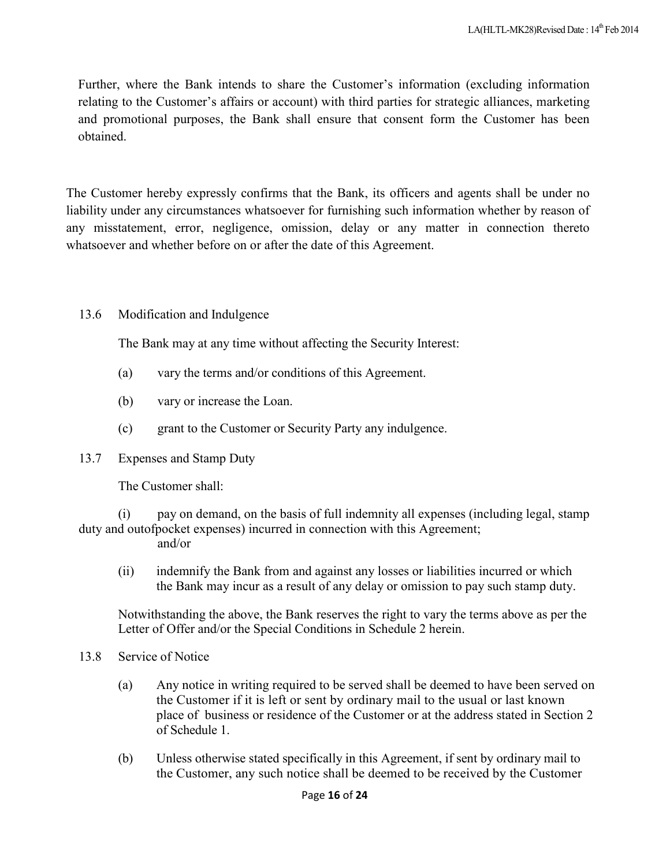Further, where the Bank intends to share the Customer's information (excluding information relating to the Customer's affairs or account) with third parties for strategic alliances, marketing and promotional purposes, the Bank shall ensure that consent form the Customer has been obtained.

The Customer hereby expressly confirms that the Bank, its officers and agents shall be under no liability under any circumstances whatsoever for furnishing such information whether by reason of any misstatement, error, negligence, omission, delay or any matter in connection thereto whatsoever and whether before on or after the date of this Agreement.

## 13.6 Modification and Indulgence

The Bank may at any time without affecting the Security Interest:

- (a) vary the terms and/or conditions of this Agreement.
- (b) vary or increase the Loan.
- (c) grant to the Customer or Security Party any indulgence.
- 13.7 Expenses and Stamp Duty

The Customer shall:

(i) pay on demand, on the basis of full indemnity all expenses (including legal, stamp duty and outofpocket expenses) incurred in connection with this Agreement; and/or

(ii) indemnify the Bank from and against any losses or liabilities incurred or which the Bank may incur as a result of any delay or omission to pay such stamp duty.

Notwithstanding the above, the Bank reserves the right to vary the terms above as per the Letter of Offer and/or the Special Conditions in Schedule 2 herein.

- 13.8 Service of Notice
	- (a) Any notice in writing required to be served shall be deemed to have been served on the Customer if it is left or sent by ordinary mail to the usual or last known place of business or residence of the Customer or at the address stated in Section 2 of Schedule 1.
	- (b) Unless otherwise stated specifically in this Agreement, if sent by ordinary mail to the Customer, any such notice shall be deemed to be received by the Customer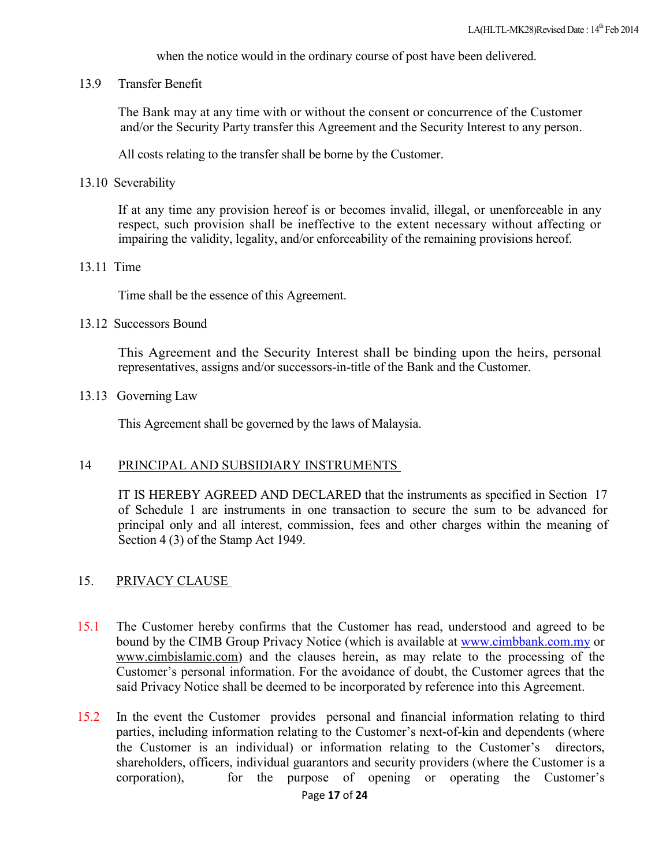when the notice would in the ordinary course of post have been delivered.

13.9 Transfer Benefit

The Bank may at any time with or without the consent or concurrence of the Customer and/or the Security Party transfer this Agreement and the Security Interest to any person.

All costs relating to the transfer shall be borne by the Customer.

13.10 Severability

If at any time any provision hereof is or becomes invalid, illegal, or unenforceable in any respect, such provision shall be ineffective to the extent necessary without affecting or impairing the validity, legality, and/or enforceability of the remaining provisions hereof.

#### 13.11 Time

Time shall be the essence of this Agreement.

#### 13.12 Successors Bound

This Agreement and the Security Interest shall be binding upon the heirs, personal representatives, assigns and/or successors-in-title of the Bank and the Customer.

#### 13.13 Governing Law

This Agreement shall be governed by the laws of Malaysia.

#### 14 PRINCIPAL AND SUBSIDIARY INSTRUMENTS

IT IS HEREBY AGREED AND DECLARED that the instruments as specified in Section 17 of Schedule 1 are instruments in one transaction to secure the sum to be advanced for principal only and all interest, commission, fees and other charges within the meaning of Section 4 (3) of the Stamp Act 1949.

#### 15. PRIVACY CLAUSE

- 15.1 The Customer hereby confirms that the Customer has read, understood and agreed to be bound by the CIMB Group Privacy Notice (which is available at www.cimbbank.com.my or www.cimbislamic.com) and the clauses herein, as may relate to the processing of the Customer's personal information. For the avoidance of doubt, the Customer agrees that the said Privacy Notice shall be deemed to be incorporated by reference into this Agreement.
- 15.2 In the event the Customer provides personal and financial information relating to third parties, including information relating to the Customer's next-of-kin and dependents (where the Customer is an individual) or information relating to the Customer's directors, shareholders, officers, individual guarantors and security providers (where the Customer is a corporation), for the purpose of opening or operating the Customer's for the purpose of opening or operating the Customer's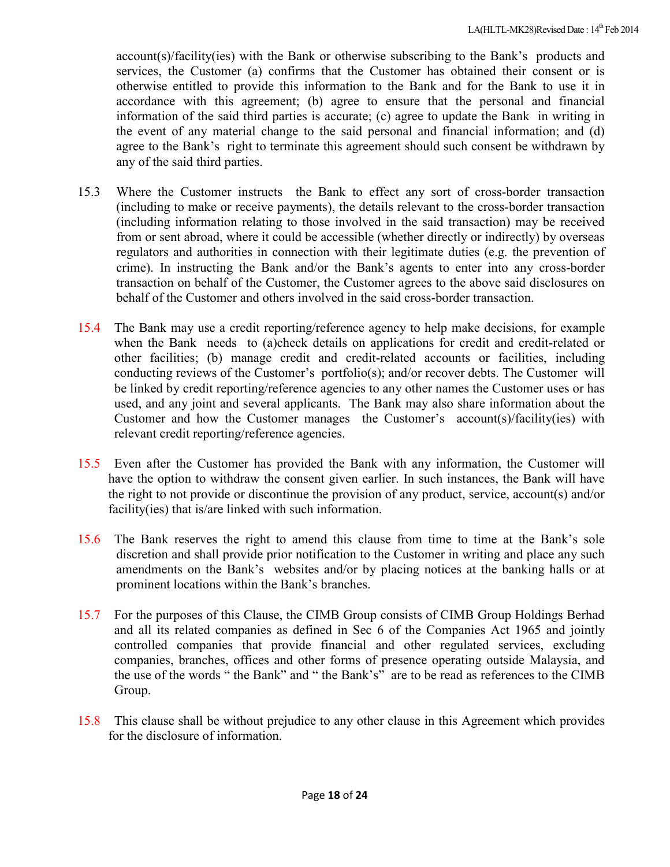account(s)/facility(ies) with the Bank or otherwise subscribing to the Bank's products and services, the Customer (a) confirms that the Customer has obtained their consent or is otherwise entitled to provide this information to the Bank and for the Bank to use it in accordance with this agreement; (b) agree to ensure that the personal and financial information of the said third parties is accurate; (c) agree to update the Bank in writing in the event of any material change to the said personal and financial information; and (d) agree to the Bank's right to terminate this agreement should such consent be withdrawn by any of the said third parties.

- 15.3 Where the Customer instructs the Bank to effect any sort of cross-border transaction (including to make or receive payments), the details relevant to the cross-border transaction (including information relating to those involved in the said transaction) may be received from or sent abroad, where it could be accessible (whether directly or indirectly) by overseas regulators and authorities in connection with their legitimate duties (e.g. the prevention of crime). In instructing the Bank and/or the Bank's agents to enter into any cross-border transaction on behalf of the Customer, the Customer agrees to the above said disclosures on behalf of the Customer and others involved in the said cross-border transaction.
- 15.4 The Bank may use a credit reporting/reference agency to help make decisions, for example when the Bank needs to (a)check details on applications for credit and credit-related or other facilities; (b) manage credit and credit-related accounts or facilities, including conducting reviews of the Customer's portfolio(s); and/or recover debts. The Customer will be linked by credit reporting/reference agencies to any other names the Customer uses or has used, and any joint and several applicants. The Bank may also share information about the Customer and how the Customer manages the Customer's account(s)/facility(ies) with relevant credit reporting/reference agencies.
- 15.5 Even after the Customer has provided the Bank with any information, the Customer will have the option to withdraw the consent given earlier. In such instances, the Bank will have the right to not provide or discontinue the provision of any product, service, account(s) and/or facility(ies) that is/are linked with such information.
- 15.6 The Bank reserves the right to amend this clause from time to time at the Bank's sole discretion and shall provide prior notification to the Customer in writing and place any such amendments on the Bank's websites and/or by placing notices at the banking halls or at prominent locations within the Bank's branches.
- 15.7 For the purposes of this Clause, the CIMB Group consists of CIMB Group Holdings Berhad and all its related companies as defined in Sec 6 of the Companies Act 1965 and jointly controlled companies that provide financial and other regulated services, excluding companies, branches, offices and other forms of presence operating outside Malaysia, and the use of the words " the Bank" and " the Bank's" are to be read as references to the CIMB Group.
- 15.8 This clause shall be without prejudice to any other clause in this Agreement which provides for the disclosure of information.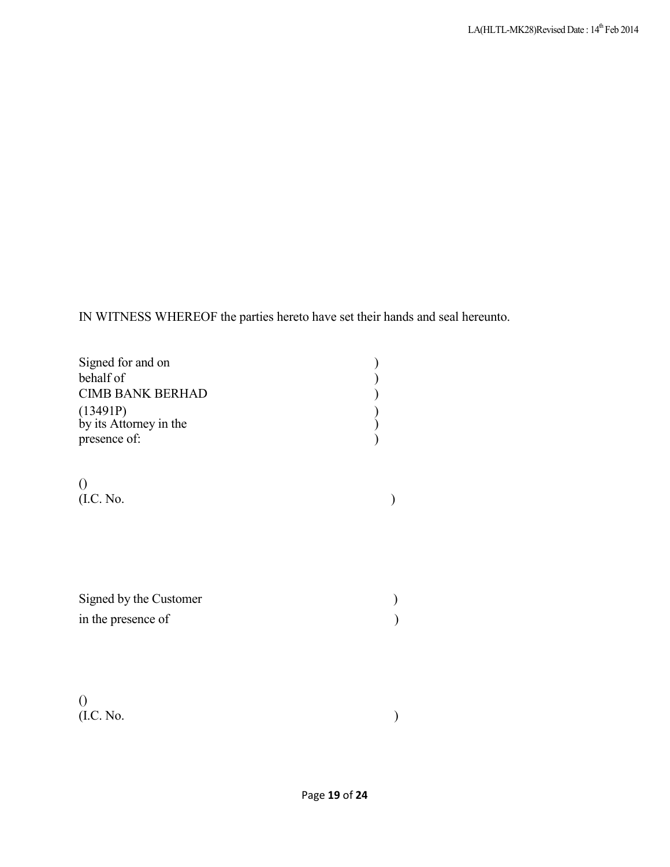IN WITNESS WHEREOF the parties hereto have set their hands and seal hereunto.

| Signed for and on<br>behalf of<br><b>CIMB BANK BERHAD</b><br>(13491P)<br>by its Attorney in the<br>presence of: |  |
|-----------------------------------------------------------------------------------------------------------------|--|
| (I.C. No.                                                                                                       |  |
| Signed by the Customer<br>in the presence of                                                                    |  |
| $($ I.C. No.                                                                                                    |  |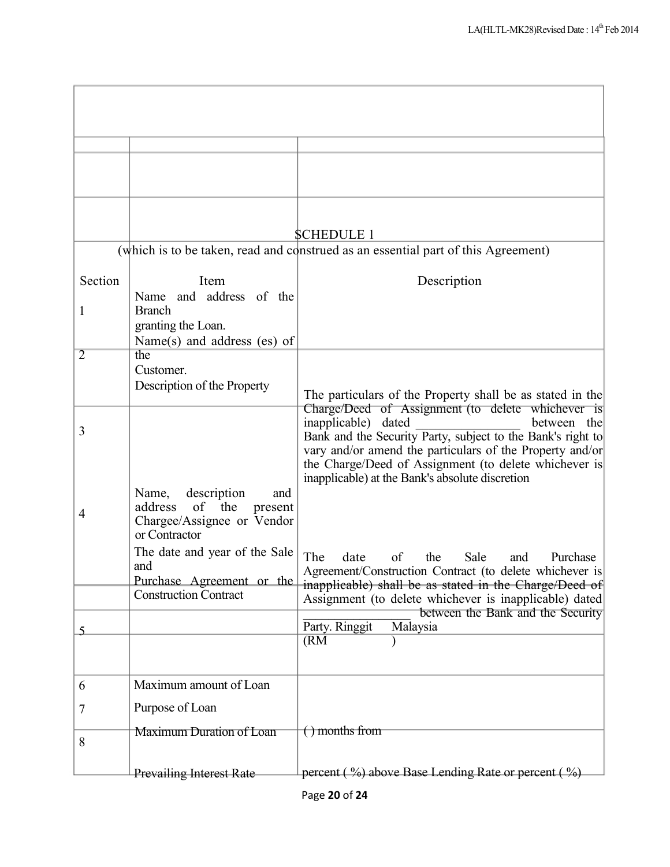|                |                                                               | <b>SCHEDULE 1</b>                                                                                                 |
|----------------|---------------------------------------------------------------|-------------------------------------------------------------------------------------------------------------------|
|                |                                                               | (which is to be taken, read and construed as an essential part of this Agreement)                                 |
| Section        | Item                                                          | Description                                                                                                       |
|                | and address of the<br>Name<br><b>Branch</b>                   |                                                                                                                   |
| 1              | granting the Loan.                                            |                                                                                                                   |
|                | Name(s) and address $(es)$ of                                 |                                                                                                                   |
| $\overline{2}$ | the<br>Customer.                                              |                                                                                                                   |
|                | Description of the Property                                   |                                                                                                                   |
|                |                                                               | The particulars of the Property shall be as stated in the<br>Charge/Deed of Assignment (to delete whichever is    |
| 3              |                                                               | inapplicable) dated<br>between the<br>Bank and the Security Party, subject to the Bank's right to                 |
|                |                                                               | vary and/or amend the particulars of the Property and/or                                                          |
|                |                                                               | the Charge/Deed of Assignment (to delete whichever is<br>inapplicable) at the Bank's absolute discretion          |
|                | description<br>Name,<br>and                                   |                                                                                                                   |
| 4              | the<br>address<br>of<br>present<br>Chargee/Assignee or Vendor |                                                                                                                   |
|                | or Contractor                                                 |                                                                                                                   |
|                | The date and year of the Sale<br>and                          | date<br>The<br>of<br>the<br>Sale<br>Purchase<br>and                                                               |
|                | Purchase Agreement or the                                     | Agreement/Construction Contract (to delete whichever is<br>inapplicable) shall be as stated in the Charge/Deed of |
|                | <b>Construction Contract</b>                                  | Assignment (to delete whichever is inapplicable) dated                                                            |
| 5              |                                                               | between the Bank and the Security<br>Party. Ringgit<br>Malaysia                                                   |
|                |                                                               | (RM)                                                                                                              |
|                |                                                               |                                                                                                                   |
| 6              | Maximum amount of Loan                                        |                                                                                                                   |
| 7              | Purpose of Loan                                               |                                                                                                                   |
|                | Maximum Duration of Loan                                      | $( )$ months from                                                                                                 |
| 8              |                                                               |                                                                                                                   |
|                | <b>Prevailing Interest Rate</b>                               | percent $(\frac{9}{9})$ above Base Lending Rate or percent $(\frac{9}{9})$                                        |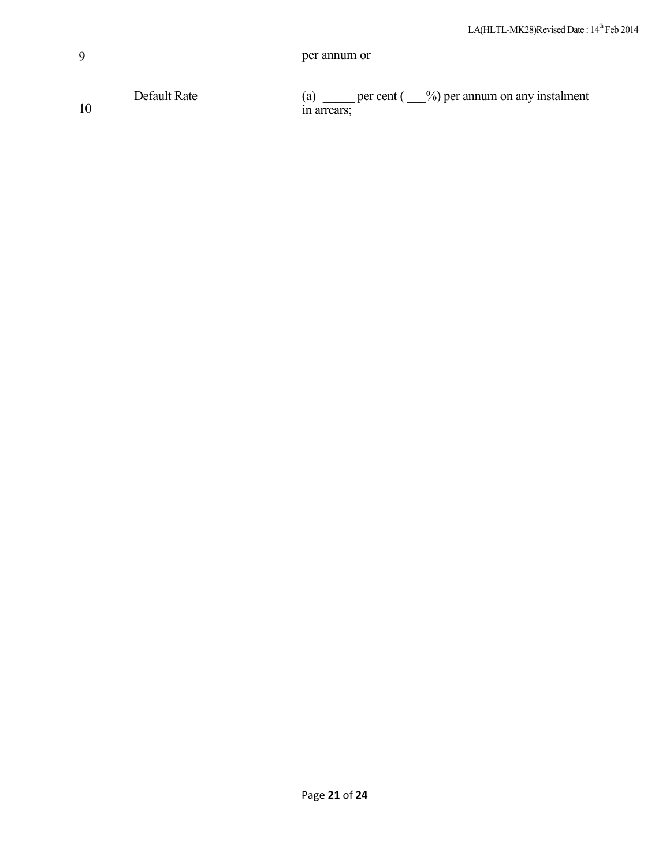| a | per annum or |
|---|--------------|
|---|--------------|

Default Rate (a) \_\_\_\_\_ per cent ( \_\_%) per annum on any instalment 10 in arrears;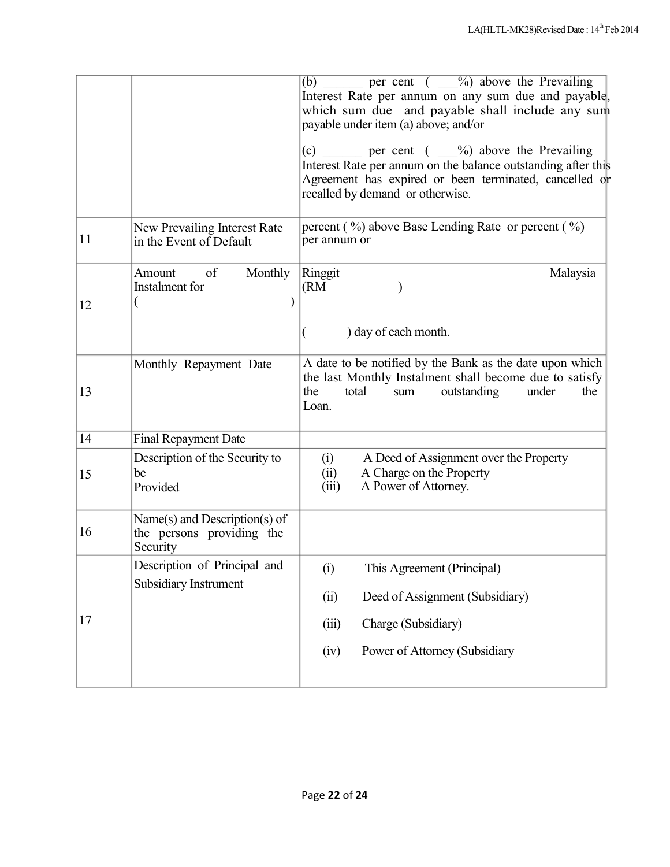|                                                                              | per cent $\left(\begin{array}{c} 0 \\ -1 \end{array}\right)$ above the Prevailing<br>(b)<br>Interest Rate per annum on any sum due and payable,<br>which sum due and payable shall include any sum<br>payable under item (a) above; and/or |
|------------------------------------------------------------------------------|--------------------------------------------------------------------------------------------------------------------------------------------------------------------------------------------------------------------------------------------|
|                                                                              | (c) ______ per cent $(\_\_\_\%)$ above the Prevailing<br>Interest Rate per annum on the balance outstanding after this<br>Agreement has expired or been terminated, cancelled or<br>recalled by demand or otherwise.                       |
| New Prevailing Interest Rate<br>in the Event of Default                      | percent $(\frac{9}{0})$ above Base Lending Rate or percent $(\frac{9}{0})$<br>per annum or                                                                                                                                                 |
| of<br>Monthly<br>Amount<br>Instalment for                                    | Ringgit<br>Malaysia<br>(RM)                                                                                                                                                                                                                |
|                                                                              | ) day of each month.                                                                                                                                                                                                                       |
| Monthly Repayment Date                                                       | A date to be notified by the Bank as the date upon which<br>the last Monthly Instalment shall become due to satisfy<br>the<br>total<br>sum<br>outstanding<br>the<br>under<br>Loan.                                                         |
| <b>Final Repayment Date</b>                                                  |                                                                                                                                                                                                                                            |
| Description of the Security to<br>be<br>Provided                             | A Deed of Assignment over the Property<br>(i)<br>A Charge on the Property<br>(ii)<br>A Power of Attorney.<br>(iii)                                                                                                                         |
| Name $(s)$ and Description $(s)$ of<br>the persons providing the<br>Security |                                                                                                                                                                                                                                            |
| Description of Principal and                                                 | (i)<br>This Agreement (Principal)                                                                                                                                                                                                          |
|                                                                              | Deed of Assignment (Subsidiary)<br>(ii)                                                                                                                                                                                                    |
|                                                                              | Charge (Subsidiary)<br>(iii)                                                                                                                                                                                                               |
|                                                                              | Power of Attorney (Subsidiary<br>(iv)                                                                                                                                                                                                      |
|                                                                              | Subsidiary Instrument                                                                                                                                                                                                                      |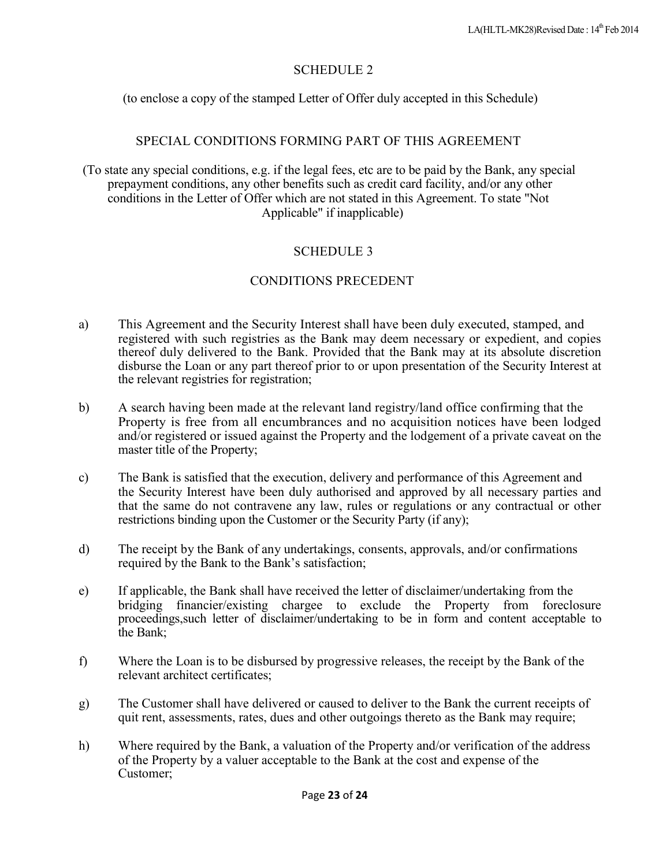# SCHEDULE 2

(to enclose a copy of the stamped Letter of Offer duly accepted in this Schedule)

## SPECIAL CONDITIONS FORMING PART OF THIS AGREEMENT

(To state any special conditions, e.g. if the legal fees, etc are to be paid by the Bank, any special prepayment conditions, any other benefits such as credit card facility, and/or any other conditions in the Letter of Offer which are not stated in this Agreement. To state "Not Applicable" if inapplicable)

# SCHEDULE 3

# CONDITIONS PRECEDENT

- a) This Agreement and the Security Interest shall have been duly executed, stamped, and registered with such registries as the Bank may deem necessary or expedient, and copies thereof duly delivered to the Bank. Provided that the Bank may at its absolute discretion disburse the Loan or any part thereof prior to or upon presentation of the Security Interest at the relevant registries for registration;
- b) A search having been made at the relevant land registry/land office confirming that the Property is free from all encumbrances and no acquisition notices have been lodged and/or registered or issued against the Property and the lodgement of a private caveat on the master title of the Property;
- c) The Bank is satisfied that the execution, delivery and performance of this Agreement and the Security Interest have been duly authorised and approved by all necessary parties and that the same do not contravene any law, rules or regulations or any contractual or other restrictions binding upon the Customer or the Security Party (if any);
- d) The receipt by the Bank of any undertakings, consents, approvals, and/or confirmations required by the Bank to the Bank's satisfaction;
- e) If applicable, the Bank shall have received the letter of disclaimer/undertaking from the bridging financier/existing chargee to exclude the Property from foreclosure proceedings,such letter of disclaimer/undertaking to be in form and content acceptable to the Bank;
- f) Where the Loan is to be disbursed by progressive releases, the receipt by the Bank of the relevant architect certificates;
- g) The Customer shall have delivered or caused to deliver to the Bank the current receipts of quit rent, assessments, rates, dues and other outgoings thereto as the Bank may require;
- h) Where required by the Bank, a valuation of the Property and/or verification of the address of the Property by a valuer acceptable to the Bank at the cost and expense of the Customer;